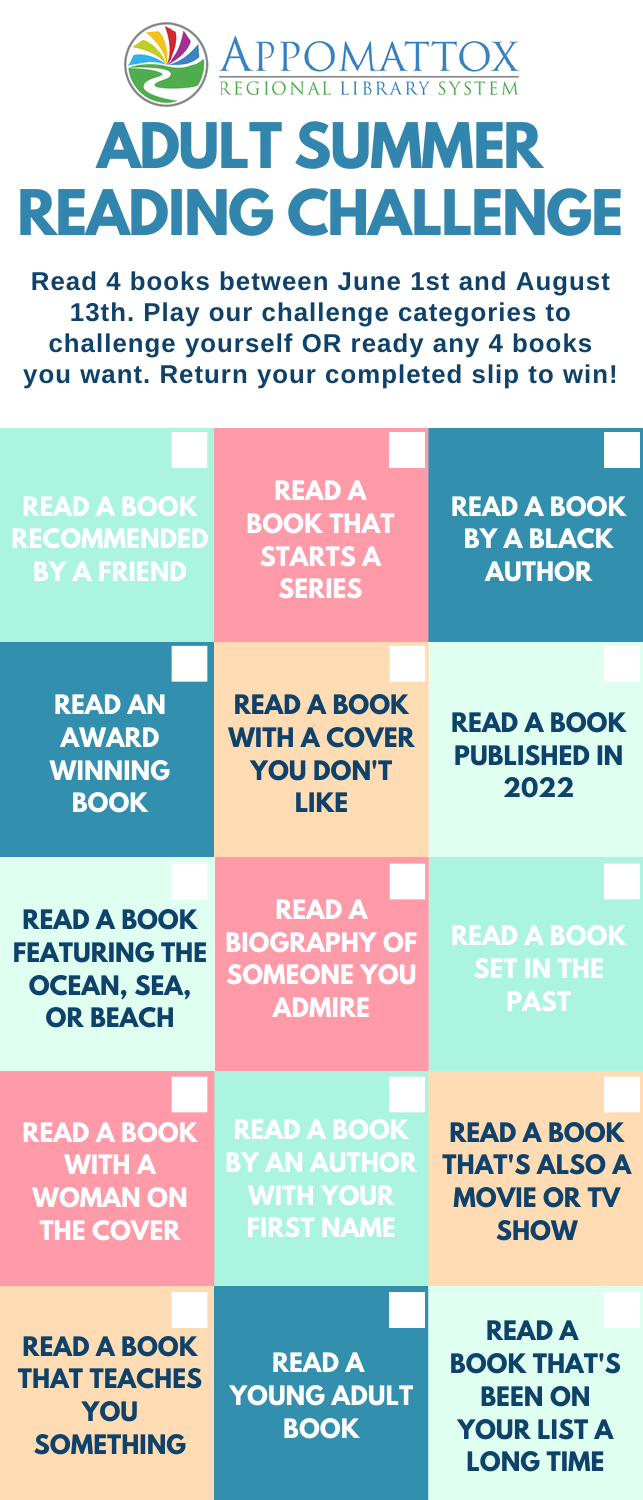

## **ADULT SUMMER READING CHALLENGE**

**Read 4 books between June 1st and August 13th. Play our challenge categories to challenge yourself OR ready any 4 books you want. Return your completed slip to win!**

| <b>READ A BOOK</b><br><b>RECOMMENDED</b><br><b>BY A FRIEND</b>                      | <b>READ A</b><br><b>BOOK THAT</b><br><b>STARTS A</b><br><b>SERIES</b>              | <b>READ A BOOK</b><br><b>BY A BLACK</b><br><b>AUTHOR</b>                                        |
|-------------------------------------------------------------------------------------|------------------------------------------------------------------------------------|-------------------------------------------------------------------------------------------------|
| <b>READ AN</b><br><b>AWARD</b><br><b>WINNING</b><br><b>BOOK</b>                     | <b>READ A BOOK</b><br><b>WITH A COVER</b><br><b>YOU DON'T</b><br><b>LIKE</b>       | <b>READ A BOOK</b><br><b>PUBLISHED IN</b><br>2022                                               |
| <b>READ A BOOK</b><br><b>FEATURING THE</b><br><b>OCEAN, SEA,</b><br><b>OR BEACH</b> | <b>READ A</b><br><b>BIOGRAPHY OF</b><br><b>SOMEONE YOU</b><br><b>ADMIRE</b>        | <b>READ A BOOK</b><br><b>SET IN THE</b><br><b>PAST</b>                                          |
| <b>READ A BOOK</b><br><b>WITH A</b><br><b>WOMAN ON</b><br><b>THE COVER</b>          | <b>READ A BOOK</b><br><b>BY AN AUTHOR</b><br><b>WITH YOUR</b><br><b>FIRST NAME</b> | <b>READ A BOOK</b><br><b>THAT'S ALSO A</b><br><b>MOVIE OR TV</b><br><b>SHOW</b>                 |
| <b>READ A BOOK</b><br><b>THAT TEACHES</b><br>YOU<br><b>SOMETHING</b>                | <b>READ A</b><br><b>YOUNG ADULT</b><br><b>BOOK</b>                                 | <b>READ A</b><br><b>BOOK THAT'S</b><br><b>BEEN ON</b><br><b>YOUR LIST A</b><br><b>LONG TIME</b> |